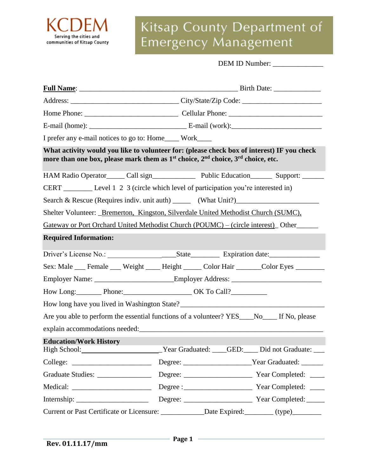

# Kitsap County Department of Emergency Management

| <b>DEM ID Number:</b> |  |
|-----------------------|--|
|                       |  |

|                               | I prefer any e-mail notices to go to: Home____ Work____                                                             |  |                                                                                             |
|-------------------------------|---------------------------------------------------------------------------------------------------------------------|--|---------------------------------------------------------------------------------------------|
|                               | more than one box, please mark them as 1 <sup>st</sup> choice, 2 <sup>nd</sup> choice, 3 <sup>rd</sup> choice, etc. |  | What activity would you like to volunteer for: (please check box of interest) IF you check  |
|                               |                                                                                                                     |  | HAM Radio Operator_____ Call sign_________________ Public Education________ Support: ______ |
|                               | CERT ___________ Level 1 2 3 (circle which level of participation you're interested in)                             |  |                                                                                             |
|                               |                                                                                                                     |  |                                                                                             |
|                               |                                                                                                                     |  | Shelter Volunteer: _Bremerton, Kingston, Silverdale United Methodist Church (SUMC),         |
|                               |                                                                                                                     |  | Gateway or Port Orchard United Methodist Church (POUMC) – (circle interest) Other           |
| <b>Required Information:</b>  |                                                                                                                     |  |                                                                                             |
|                               |                                                                                                                     |  |                                                                                             |
|                               |                                                                                                                     |  | Sex: Male ___ Female ___ Weight ____ Height _____ Color Hair ______ Color Eyes _______      |
|                               |                                                                                                                     |  | Employer Name: __________________________Employer Address: ______________________           |
|                               | How Long: Phone: Phone: OK To Call?                                                                                 |  |                                                                                             |
|                               |                                                                                                                     |  |                                                                                             |
|                               |                                                                                                                     |  | Are you able to perform the essential functions of a volunteer? YES___No___ If No, please   |
|                               | explain accommodations needed:                                                                                      |  |                                                                                             |
| <b>Education/Work History</b> |                                                                                                                     |  |                                                                                             |
|                               |                                                                                                                     |  | High School: Vear Graduated: GED: Did not Graduate: __                                      |
|                               |                                                                                                                     |  |                                                                                             |
|                               |                                                                                                                     |  |                                                                                             |
|                               |                                                                                                                     |  |                                                                                             |
|                               |                                                                                                                     |  |                                                                                             |
|                               |                                                                                                                     |  | Current or Past Certificate or Licensure: ____________Date Expired: _______(type)________   |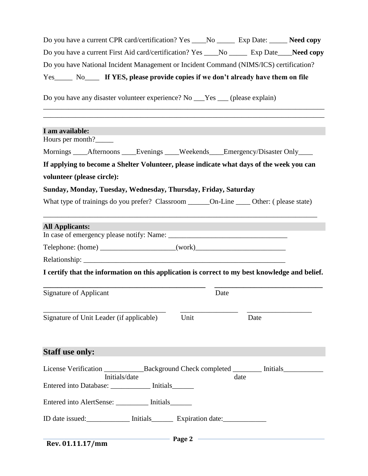| Do you have a current CPR card/certification? Yes ____No __________ Exp Date: _______ Need copy |  |
|-------------------------------------------------------------------------------------------------|--|
| Do you have a current First Aid card/certification? Yes ____No _________ Exp Date____Need copy  |  |
| Do you have National Incident Management or Incident Command (NIMS/ICS) certification?          |  |
| Yes No Key If YES, please provide copies if we don't already have them on file                  |  |
| Do you have any disaster volunteer experience? No ___Yes ___ (please explain)                   |  |

| I am available:                                                                                |      |      |      |  |
|------------------------------------------------------------------------------------------------|------|------|------|--|
| Hours per month?                                                                               |      |      |      |  |
| Mornings ____Afternoons ____Evenings ____Weekends ____Emergency/Disaster Only ____             |      |      |      |  |
| If applying to become a Shelter Volunteer, please indicate what days of the week you can       |      |      |      |  |
| volunteer (please circle):                                                                     |      |      |      |  |
| Sunday, Monday, Tuesday, Wednesday, Thursday, Friday, Saturday                                 |      |      |      |  |
|                                                                                                |      |      |      |  |
| <b>All Applicants:</b>                                                                         |      |      |      |  |
|                                                                                                |      |      |      |  |
|                                                                                                |      |      |      |  |
|                                                                                                |      |      |      |  |
| I certify that the information on this application is correct to my best knowledge and belief. |      |      |      |  |
| <b>Signature of Applicant</b>                                                                  |      | Date |      |  |
| Signature of Unit Leader (if applicable)                                                       | Unit |      | Date |  |
| <b>Staff use only:</b>                                                                         |      |      |      |  |
| Initials/date                                                                                  |      | date |      |  |
| Entered into Database: ___________ Initials_______                                             |      |      |      |  |
| Entered into AlertSense: ________ Initials______                                               |      |      |      |  |
| ID date issued: Initials Expiration date:                                                      |      |      |      |  |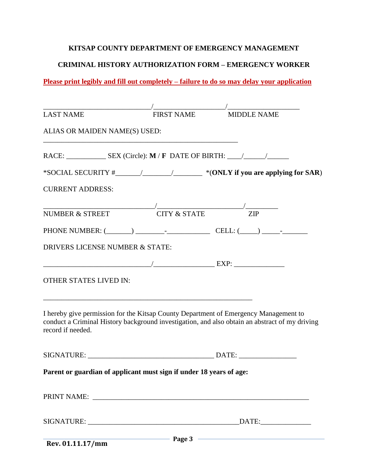#### **KITSAP COUNTY DEPARTMENT OF EMERGENCY MANAGEMENT**

# **CRIMINAL HISTORY AUTHORIZATION FORM – EMERGENCY WORKER**

**Please print legibly and fill out completely – failure to do so may delay your application**

| <b>LAST NAME</b>                | <b>FIRST NAME</b>                                                                    | <b>MIDDLE NAME</b>                                                                             |
|---------------------------------|--------------------------------------------------------------------------------------|------------------------------------------------------------------------------------------------|
| ALIAS OR MAIDEN NAME(S) USED:   |                                                                                      |                                                                                                |
|                                 |                                                                                      |                                                                                                |
|                                 |                                                                                      | *SOCIAL SECURITY #_________________________________ *(ONLY if you are applying for SAR)        |
| <b>CURRENT ADDRESS:</b>         |                                                                                      |                                                                                                |
| <b>NUMBER &amp; STREET</b>      | $\frac{1}{\text{CITY & STATE}}$ ZIP                                                  |                                                                                                |
|                                 |                                                                                      |                                                                                                |
| DRIVERS LICENSE NUMBER & STATE: |                                                                                      |                                                                                                |
|                                 |                                                                                      |                                                                                                |
| OTHER STATES LIVED IN:          |                                                                                      |                                                                                                |
| record if needed.               | I hereby give permission for the Kitsap County Department of Emergency Management to | conduct a Criminal History background investigation, and also obtain an abstract of my driving |
|                                 |                                                                                      |                                                                                                |
|                                 | Parent or guardian of applicant must sign if under 18 years of age:                  |                                                                                                |
|                                 |                                                                                      |                                                                                                |
|                                 |                                                                                      |                                                                                                |
| Rev. 01.11.17/mm                |                                                                                      | $\blacksquare$ Page 3 $\blacksquare$                                                           |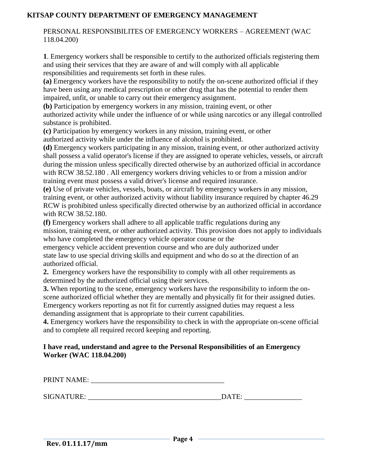# **KITSAP COUNTY DEPARTMENT OF EMERGENCY MANAGEMENT**

PERSONAL RESPONSIBILITES OF EMERGENCY WORKERS – AGREEMENT (WAC 118.04.200)

**1**. Emergency workers shall be responsible to certify to the authorized officials registering them and using their services that they are aware of and will comply with all applicable responsibilities and requirements set forth in these rules.

**(a)** Emergency workers have the responsibility to notify the on-scene authorized official if they have been using any medical prescription or other drug that has the potential to render them impaired, unfit, or unable to carry out their emergency assignment.

**(b)** Participation by emergency workers in any mission, training event, or other authorized activity while under the influence of or while using narcotics or any illegal controlled substance is prohibited.

**(c)** Participation by emergency workers in any mission, training event, or other authorized activity while under the influence of alcohol is prohibited.

**(d)** Emergency workers participating in any mission, training event, or other authorized activity shall possess a valid operator's license if they are assigned to operate vehicles, vessels, or aircraft during the mission unless specifically directed otherwise by an authorized official in accordance with RCW 38.52.180 . All emergency workers driving vehicles to or from a mission and/or training event must possess a valid driver's license and required insurance.

**(e)** Use of private vehicles, vessels, boats, or aircraft by emergency workers in any mission, training event, or other authorized activity without liability insurance required by chapter 46.29 RCW is prohibited unless specifically directed otherwise by an authorized official in accordance with RCW 38.52.180.

**(f)** Emergency workers shall adhere to all applicable traffic regulations during any mission, training event, or other authorized activity. This provision does not apply to individuals who have completed the emergency vehicle operator course or the

emergency vehicle accident prevention course and who are duly authorized under state law to use special driving skills and equipment and who do so at the direction of an authorized official.

**2.** Emergency workers have the responsibility to comply with all other requirements as determined by the authorized official using their services.

**3.** When reporting to the scene, emergency workers have the responsibility to inform the onscene authorized official whether they are mentally and physically fit for their assigned duties. Emergency workers reporting as not fit for currently assigned duties may request a less demanding assignment that is appropriate to their current capabilities.

**4.** Emergency workers have the responsibility to check in with the appropriate on-scene official and to complete all required record keeping and reporting.

### **I have read, understand and agree to the Personal Responsibilities of an Emergency Worker (WAC 118.04.200)**

PRINT NAME: \_\_\_\_\_\_\_\_\_\_\_\_\_\_\_\_\_\_\_\_\_\_\_\_\_\_\_\_\_\_\_\_\_\_\_\_\_

SIGNATURE: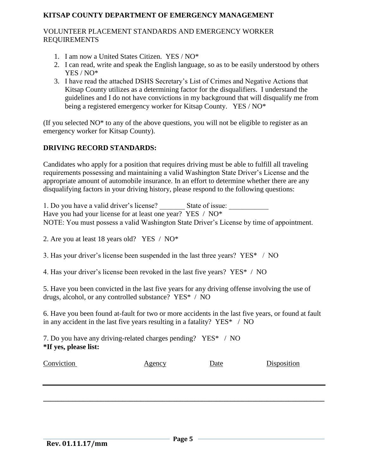# **KITSAP COUNTY DEPARTMENT OF EMERGENCY MANAGEMENT**

## VOLUNTEER PLACEMENT STANDARDS AND EMERGENCY WORKER REQUIREMENTS

- 1. I am now a United States Citizen. YES / NO\*
- 2. I can read, write and speak the English language, so as to be easily understood by others YES / NO\*
- 3. I have read the attached DSHS Secretary's List of Crimes and Negative Actions that Kitsap County utilizes as a determining factor for the disqualifiers. I understand the guidelines and I do not have convictions in my background that will disqualify me from being a registered emergency worker for Kitsap County. YES / NO\*

(If you selected NO\* to any of the above questions, you will not be eligible to register as an emergency worker for Kitsap County).

# **DRIVING RECORD STANDARDS:**

Candidates who apply for a position that requires driving must be able to fulfill all traveling requirements possessing and maintaining a valid Washington State Driver's License and the appropriate amount of automobile insurance. In an effort to determine whether there are any disqualifying factors in your driving history, please respond to the following questions:

1. Do you have a valid driver's license? State of issue: Have you had your license for at least one year? YES / NO\* NOTE: You must possess a valid Washington State Driver's License by time of appointment.

2. Are you at least 18 years old? YES / NO\*

3. Has your driver's license been suspended in the last three years? YES\* / NO

4. Has your driver's license been revoked in the last five years? YES\* / NO

5. Have you been convicted in the last five years for any driving offense involving the use of drugs, alcohol, or any controlled substance? YES\* / NO

6. Have you been found at-fault for two or more accidents in the last five years, or found at fault in any accident in the last five years resulting in a fatality? YES\* / NO

7. Do you have any driving-related charges pending? YES\* / NO **\*If yes, please list:** 

| Conviction | <u>Agency</u> | Date | Disposition |
|------------|---------------|------|-------------|
|            |               |      |             |
|            |               |      |             |
|            |               |      |             |
|            |               |      |             |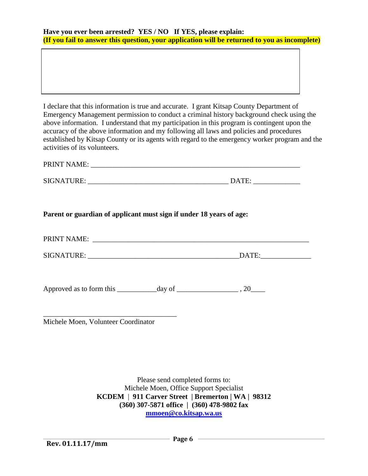| Have you ever been arrested? YES / NO If YES, please explain: |                                                                                               |
|---------------------------------------------------------------|-----------------------------------------------------------------------------------------------|
|                                                               | (If you fail to answer this question, your application will be returned to you as incomplete) |

I declare that this information is true and accurate. I grant Kitsap County Department of Emergency Management permission to conduct a criminal history background check using the above information. I understand that my participation in this program is contingent upon the accuracy of the above information and my following all laws and policies and procedures established by Kitsap County or its agents with regard to the emergency worker program and the activities of its volunteers.

| <b>PRINT NAME:</b> |  |  |  |
|--------------------|--|--|--|
|                    |  |  |  |

| <b>SIGNATURE</b><br>K.C. | Δ |
|--------------------------|---|
|--------------------------|---|

| )ATE |
|------|

# **Parent or guardian of applicant must sign if under 18 years of age:**

| PRINT NAME<br>*****<br> |  |  |
|-------------------------|--|--|
|                         |  |  |

SIGNATURE: \_\_\_\_\_\_\_\_\_\_\_\_\_\_\_\_\_\_\_\_\_\_\_\_\_\_\_\_\_\_\_\_\_\_\_\_\_\_\_\_\_\_DATE:\_\_\_\_\_\_\_\_\_\_\_\_\_\_

Approved as to form this \_\_\_\_\_\_\_\_\_\_\_day of \_\_\_\_\_\_\_\_\_\_\_\_\_\_\_\_\_ , 20\_\_\_\_

\_\_\_\_\_\_\_\_\_\_\_\_\_\_\_\_\_\_\_\_\_\_\_\_\_\_\_\_\_\_\_\_\_\_\_\_\_ Michele Moen, Volunteer Coordinator

> Please send completed forms to: Michele Moen, Office Support Specialist **KCDEM** | **911 Carver Street | Bremerton | WA | 98312 (360) 307-5871 office | (360) 478-9802 fax [mmoen@co.kitsap.wa.us](mailto:mmoen@co.kitsap.wa.us)**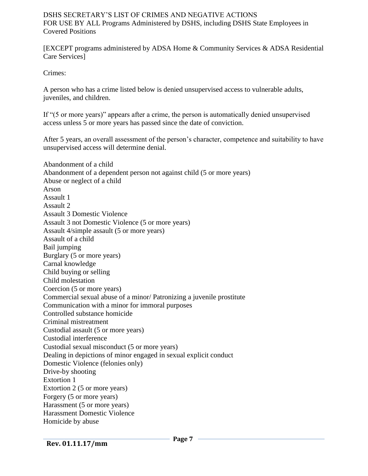### DSHS SECRETARY'S LIST OF CRIMES AND NEGATIVE ACTIONS FOR USE BY ALL Programs Administered by DSHS, including DSHS State Employees in Covered Positions

[EXCEPT programs administered by ADSA Home & Community Services & ADSA Residential Care Services]

Crimes:

A person who has a crime listed below is denied unsupervised access to vulnerable adults, juveniles, and children.

If "(5 or more years)" appears after a crime, the person is automatically denied unsupervised access unless 5 or more years has passed since the date of conviction.

After 5 years, an overall assessment of the person's character, competence and suitability to have unsupervised access will determine denial.

Abandonment of a child Abandonment of a dependent person not against child (5 or more years) Abuse or neglect of a child Arson Assault 1 Assault 2 Assault 3 Domestic Violence Assault 3 not Domestic Violence (5 or more years) Assault 4/simple assault (5 or more years) Assault of a child Bail jumping Burglary (5 or more years) Carnal knowledge Child buying or selling Child molestation Coercion (5 or more years) Commercial sexual abuse of a minor/ Patronizing a juvenile prostitute Communication with a minor for immoral purposes Controlled substance homicide Criminal mistreatment Custodial assault (5 or more years) Custodial interference Custodial sexual misconduct (5 or more years) Dealing in depictions of minor engaged in sexual explicit conduct Domestic Violence (felonies only) Drive-by shooting Extortion 1 Extortion 2 (5 or more years) Forgery (5 or more years) Harassment (5 or more years) Harassment Domestic Violence Homicide by abuse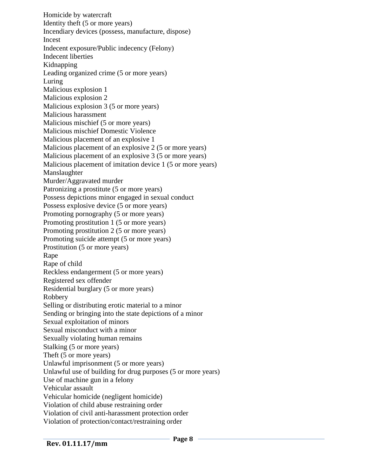Homicide by watercraft Identity theft (5 or more years) Incendiary devices (possess, manufacture, dispose) Incest Indecent exposure/Public indecency (Felony) Indecent liberties Kidnapping Leading organized crime (5 or more years) Luring Malicious explosion 1 Malicious explosion 2 Malicious explosion 3 (5 or more years) Malicious harassment Malicious mischief (5 or more years) Malicious mischief Domestic Violence Malicious placement of an explosive 1 Malicious placement of an explosive 2 (5 or more years) Malicious placement of an explosive 3 (5 or more years) Malicious placement of imitation device 1 (5 or more years) Manslaughter Murder/Aggravated murder Patronizing a prostitute (5 or more years) Possess depictions minor engaged in sexual conduct Possess explosive device (5 or more years) Promoting pornography (5 or more years) Promoting prostitution 1 (5 or more years) Promoting prostitution 2 (5 or more years) Promoting suicide attempt (5 or more years) Prostitution (5 or more years) Rape Rape of child Reckless endangerment (5 or more years) Registered sex offender Residential burglary (5 or more years) Robbery Selling or distributing erotic material to a minor Sending or bringing into the state depictions of a minor Sexual exploitation of minors Sexual misconduct with a minor Sexually violating human remains Stalking (5 or more years) Theft (5 or more years) Unlawful imprisonment (5 or more years) Unlawful use of building for drug purposes (5 or more years) Use of machine gun in a felony Vehicular assault Vehicular homicide (negligent homicide) Violation of child abuse restraining order Violation of civil anti-harassment protection order Violation of protection/contact/restraining order